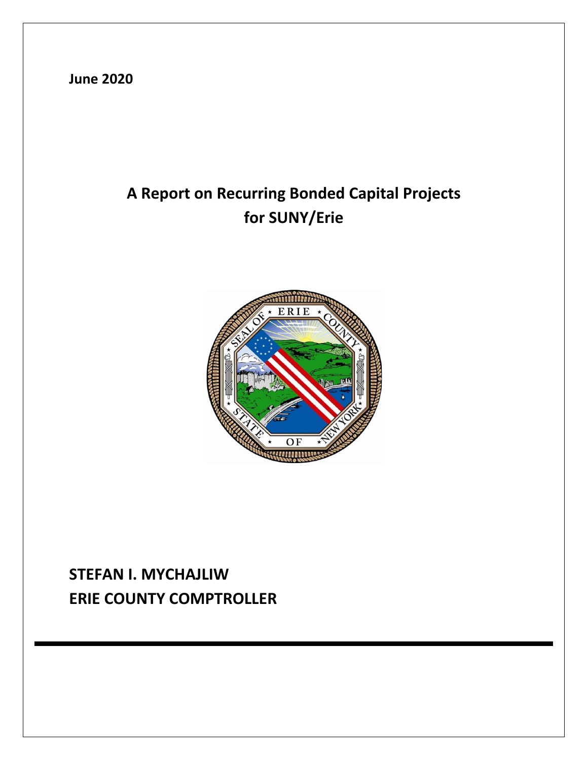**June 2020**

# **A Report on Recurring Bonded Capital Projects for SUNY/Erie**



## **STEFAN I. MYCHAJLIW ERIE COUNTY COMPTROLLER**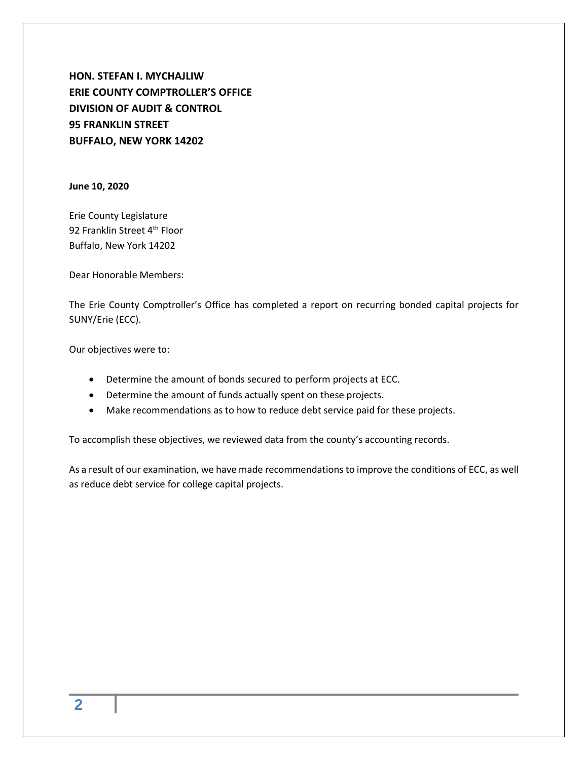**HON. STEFAN I. MYCHAJLIW ERIE COUNTY COMPTROLLER'S OFFICE DIVISION OF AUDIT & CONTROL 95 FRANKLIN STREET BUFFALO, NEW YORK 14202**

**June 10, 2020**

Erie County Legislature 92 Franklin Street 4<sup>th</sup> Floor Buffalo, New York 14202

Dear Honorable Members:

The Erie County Comptroller's Office has completed a report on recurring bonded capital projects for SUNY/Erie (ECC).

Our objectives were to:

- Determine the amount of bonds secured to perform projects at ECC.
- Determine the amount of funds actually spent on these projects.
- Make recommendations as to how to reduce debt service paid for these projects.

To accomplish these objectives, we reviewed data from the county's accounting records.

As a result of our examination, we have made recommendations to improve the conditions of ECC, as well as reduce debt service for college capital projects.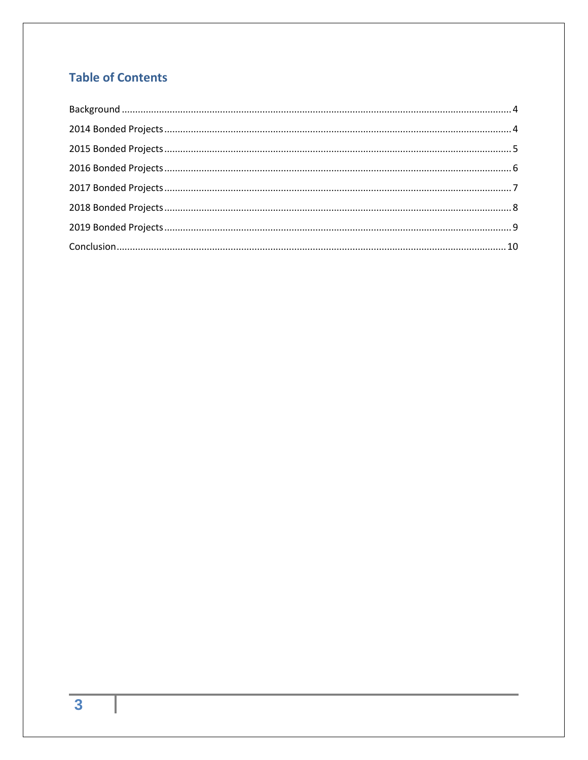### **Table of Contents**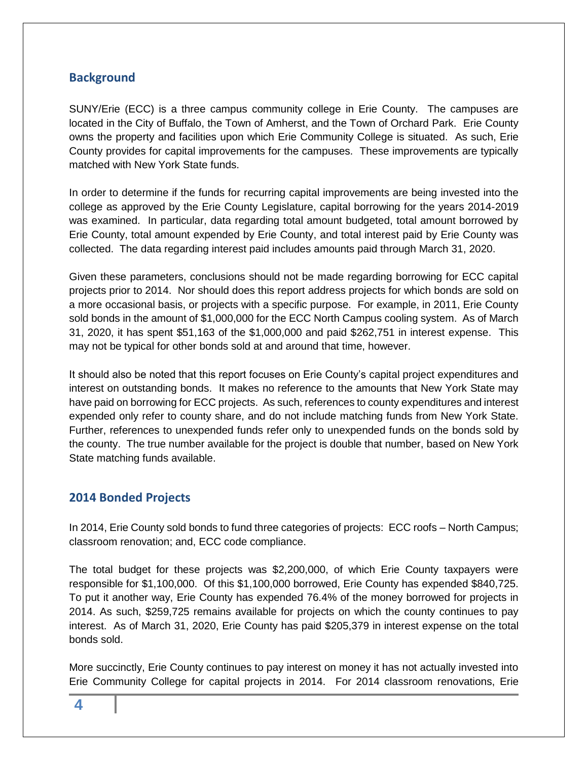#### <span id="page-3-0"></span>**Background**

SUNY/Erie (ECC) is a three campus community college in Erie County. The campuses are located in the City of Buffalo, the Town of Amherst, and the Town of Orchard Park. Erie County owns the property and facilities upon which Erie Community College is situated. As such, Erie County provides for capital improvements for the campuses. These improvements are typically matched with New York State funds.

In order to determine if the funds for recurring capital improvements are being invested into the college as approved by the Erie County Legislature, capital borrowing for the years 2014-2019 was examined. In particular, data regarding total amount budgeted, total amount borrowed by Erie County, total amount expended by Erie County, and total interest paid by Erie County was collected. The data regarding interest paid includes amounts paid through March 31, 2020.

Given these parameters, conclusions should not be made regarding borrowing for ECC capital projects prior to 2014. Nor should does this report address projects for which bonds are sold on a more occasional basis, or projects with a specific purpose. For example, in 2011, Erie County sold bonds in the amount of \$1,000,000 for the ECC North Campus cooling system. As of March 31, 2020, it has spent \$51,163 of the \$1,000,000 and paid \$262,751 in interest expense. This may not be typical for other bonds sold at and around that time, however.

It should also be noted that this report focuses on Erie County's capital project expenditures and interest on outstanding bonds. It makes no reference to the amounts that New York State may have paid on borrowing for ECC projects. As such, references to county expenditures and interest expended only refer to county share, and do not include matching funds from New York State. Further, references to unexpended funds refer only to unexpended funds on the bonds sold by the county. The true number available for the project is double that number, based on New York State matching funds available.

#### <span id="page-3-1"></span>**2014 Bonded Projects**

In 2014, Erie County sold bonds to fund three categories of projects: ECC roofs – North Campus; classroom renovation; and, ECC code compliance.

The total budget for these projects was \$2,200,000, of which Erie County taxpayers were responsible for \$1,100,000. Of this \$1,100,000 borrowed, Erie County has expended \$840,725. To put it another way, Erie County has expended 76.4% of the money borrowed for projects in 2014. As such, \$259,725 remains available for projects on which the county continues to pay interest. As of March 31, 2020, Erie County has paid \$205,379 in interest expense on the total bonds sold.

More succinctly, Erie County continues to pay interest on money it has not actually invested into Erie Community College for capital projects in 2014. For 2014 classroom renovations, Erie

**4**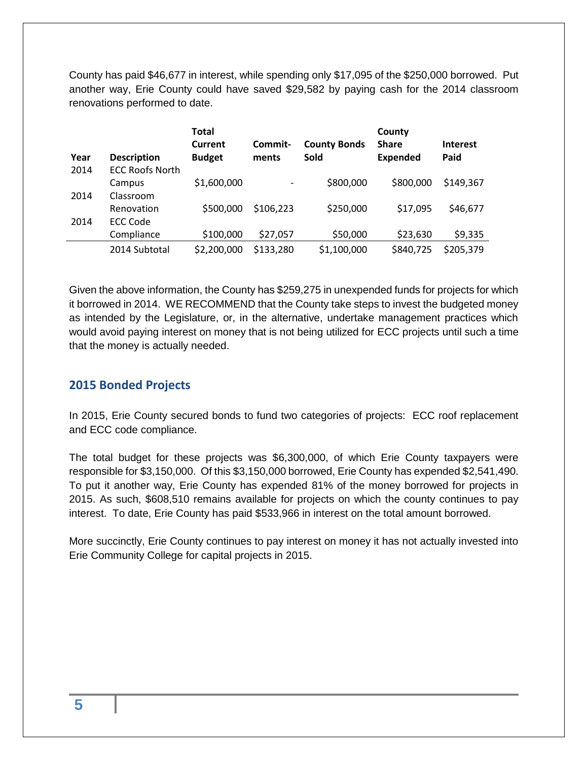County has paid \$46,677 in interest, while spending only \$17,095 of the \$250,000 borrowed. Put another way, Erie County could have saved \$29,582 by paying cash for the 2014 classroom renovations performed to date.

| Year | <b>Description</b>     | <b>Total</b><br>Current<br><b>Budget</b> | Commit-<br>ments | <b>County Bonds</b><br>Sold | County<br><b>Share</b><br><b>Expended</b> | <b>Interest</b><br>Paid |
|------|------------------------|------------------------------------------|------------------|-----------------------------|-------------------------------------------|-------------------------|
| 2014 | <b>ECC Roofs North</b> |                                          |                  |                             |                                           |                         |
|      | Campus                 | \$1,600,000                              |                  | \$800,000                   | \$800,000                                 | \$149,367               |
| 2014 | Classroom              |                                          |                  |                             |                                           |                         |
|      | Renovation             | \$500,000                                | \$106,223        | \$250,000                   | \$17,095                                  | \$46,677                |
| 2014 | <b>ECC Code</b>        |                                          |                  |                             |                                           |                         |
|      | Compliance             | \$100,000                                | \$27,057         | \$50,000                    | \$23,630                                  | \$9,335                 |
|      | 2014 Subtotal          | \$2,200,000                              | \$133,280        | \$1,100,000                 | \$840,725                                 | \$205,379               |

Given the above information, the County has \$259,275 in unexpended funds for projects for which it borrowed in 2014. WE RECOMMEND that the County take steps to invest the budgeted money as intended by the Legislature, or, in the alternative, undertake management practices which would avoid paying interest on money that is not being utilized for ECC projects until such a time that the money is actually needed.

#### <span id="page-4-0"></span>**2015 Bonded Projects**

In 2015, Erie County secured bonds to fund two categories of projects: ECC roof replacement and ECC code compliance.

The total budget for these projects was \$6,300,000, of which Erie County taxpayers were responsible for \$3,150,000. Of this \$3,150,000 borrowed, Erie County has expended \$2,541,490. To put it another way, Erie County has expended 81% of the money borrowed for projects in 2015. As such, \$608,510 remains available for projects on which the county continues to pay interest. To date, Erie County has paid \$533,966 in interest on the total amount borrowed.

More succinctly, Erie County continues to pay interest on money it has not actually invested into Erie Community College for capital projects in 2015.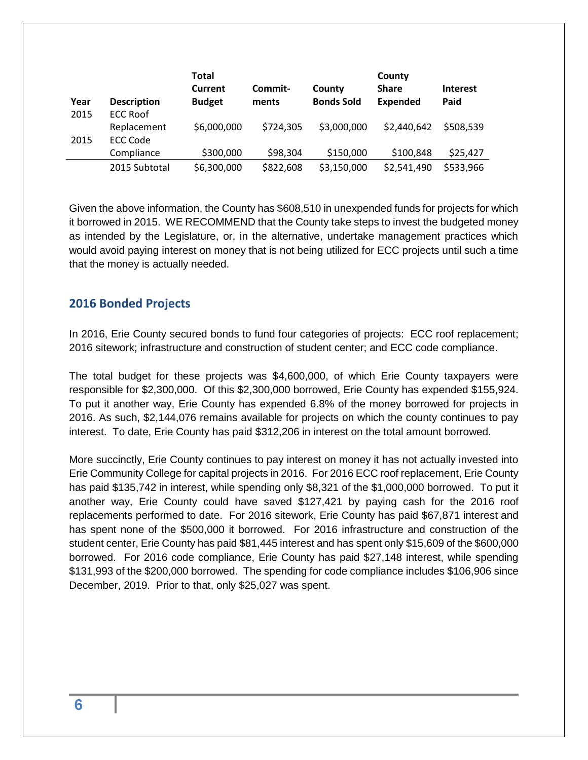| Year | <b>Description</b> | <b>Total</b><br>Current<br><b>Budget</b> | Commit-<br>ments | County<br><b>Bonds Sold</b> | County<br><b>Share</b><br><b>Expended</b> | <b>Interest</b><br>Paid |
|------|--------------------|------------------------------------------|------------------|-----------------------------|-------------------------------------------|-------------------------|
|      |                    |                                          |                  |                             |                                           |                         |
| 2015 | <b>ECC Roof</b>    |                                          |                  |                             |                                           |                         |
|      | Replacement        | \$6,000,000                              | \$724,305        | \$3,000,000                 | \$2,440,642                               | \$508,539               |
| 2015 | <b>ECC Code</b>    |                                          |                  |                             |                                           |                         |
|      | Compliance         | \$300,000                                | \$98,304         | \$150,000                   | \$100,848                                 | \$25,427                |
|      | 2015 Subtotal      | \$6,300,000                              | \$822,608        | \$3,150,000                 | \$2,541,490                               | \$533,966               |

Given the above information, the County has \$608,510 in unexpended funds for projects for which it borrowed in 2015. WE RECOMMEND that the County take steps to invest the budgeted money as intended by the Legislature, or, in the alternative, undertake management practices which would avoid paying interest on money that is not being utilized for ECC projects until such a time that the money is actually needed.

#### <span id="page-5-0"></span>**2016 Bonded Projects**

In 2016, Erie County secured bonds to fund four categories of projects: ECC roof replacement; 2016 sitework; infrastructure and construction of student center; and ECC code compliance.

The total budget for these projects was \$4,600,000, of which Erie County taxpayers were responsible for \$2,300,000. Of this \$2,300,000 borrowed, Erie County has expended \$155,924. To put it another way, Erie County has expended 6.8% of the money borrowed for projects in 2016. As such, \$2,144,076 remains available for projects on which the county continues to pay interest. To date, Erie County has paid \$312,206 in interest on the total amount borrowed.

More succinctly, Erie County continues to pay interest on money it has not actually invested into Erie Community College for capital projects in 2016. For 2016 ECC roof replacement, Erie County has paid \$135,742 in interest, while spending only \$8,321 of the \$1,000,000 borrowed. To put it another way, Erie County could have saved \$127,421 by paying cash for the 2016 roof replacements performed to date. For 2016 sitework, Erie County has paid \$67,871 interest and has spent none of the \$500,000 it borrowed. For 2016 infrastructure and construction of the student center, Erie County has paid \$81,445 interest and has spent only \$15,609 of the \$600,000 borrowed. For 2016 code compliance, Erie County has paid \$27,148 interest, while spending \$131,993 of the \$200,000 borrowed. The spending for code compliance includes \$106,906 since December, 2019. Prior to that, only \$25,027 was spent.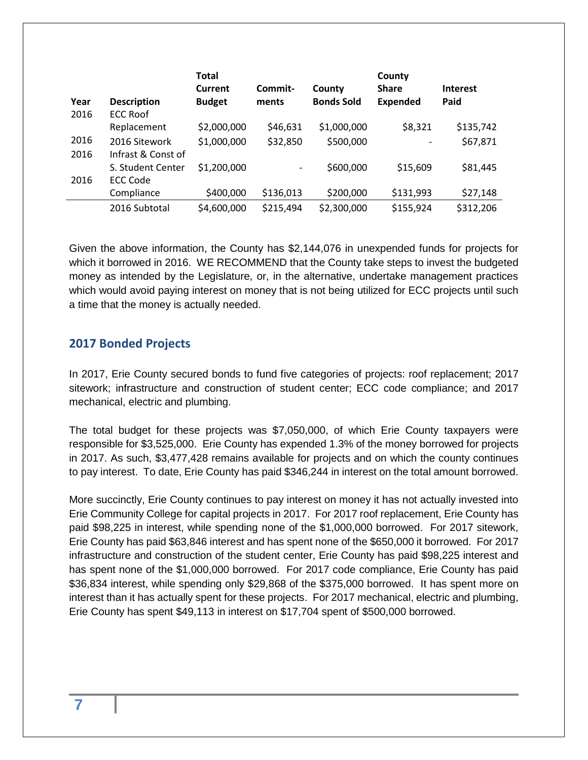|      |                    | <b>Total</b>   |           |                   | County          |                 |
|------|--------------------|----------------|-----------|-------------------|-----------------|-----------------|
|      |                    | <b>Current</b> | Commit-   | County            | <b>Share</b>    | <b>Interest</b> |
| Year | <b>Description</b> | <b>Budget</b>  | ments     | <b>Bonds Sold</b> | <b>Expended</b> | Paid            |
| 2016 | <b>ECC Roof</b>    |                |           |                   |                 |                 |
|      | Replacement        | \$2,000,000    | \$46,631  | \$1,000,000       | \$8,321         | \$135,742       |
| 2016 | 2016 Sitework      | \$1,000,000    | \$32,850  | \$500,000         |                 | \$67,871        |
| 2016 | Infrast & Const of |                |           |                   |                 |                 |
|      | S. Student Center  | \$1,200,000    | -         | \$600,000         | \$15,609        | \$81,445        |
| 2016 | ECC Code           |                |           |                   |                 |                 |
|      | Compliance         | \$400,000      | \$136,013 | \$200,000         | \$131,993       | \$27,148        |
|      | 2016 Subtotal      | \$4,600,000    | \$215,494 | \$2,300,000       | \$155,924       | \$312,206       |

Given the above information, the County has \$2,144,076 in unexpended funds for projects for which it borrowed in 2016. WE RECOMMEND that the County take steps to invest the budgeted money as intended by the Legislature, or, in the alternative, undertake management practices which would avoid paying interest on money that is not being utilized for ECC projects until such a time that the money is actually needed.

#### <span id="page-6-0"></span>**2017 Bonded Projects**

In 2017, Erie County secured bonds to fund five categories of projects: roof replacement; 2017 sitework; infrastructure and construction of student center; ECC code compliance; and 2017 mechanical, electric and plumbing.

The total budget for these projects was \$7,050,000, of which Erie County taxpayers were responsible for \$3,525,000. Erie County has expended 1.3% of the money borrowed for projects in 2017. As such, \$3,477,428 remains available for projects and on which the county continues to pay interest. To date, Erie County has paid \$346,244 in interest on the total amount borrowed.

More succinctly, Erie County continues to pay interest on money it has not actually invested into Erie Community College for capital projects in 2017. For 2017 roof replacement, Erie County has paid \$98,225 in interest, while spending none of the \$1,000,000 borrowed. For 2017 sitework, Erie County has paid \$63,846 interest and has spent none of the \$650,000 it borrowed. For 2017 infrastructure and construction of the student center, Erie County has paid \$98,225 interest and has spent none of the \$1,000,000 borrowed. For 2017 code compliance, Erie County has paid \$36,834 interest, while spending only \$29,868 of the \$375,000 borrowed. It has spent more on interest than it has actually spent for these projects. For 2017 mechanical, electric and plumbing, Erie County has spent \$49,113 in interest on \$17,704 spent of \$500,000 borrowed.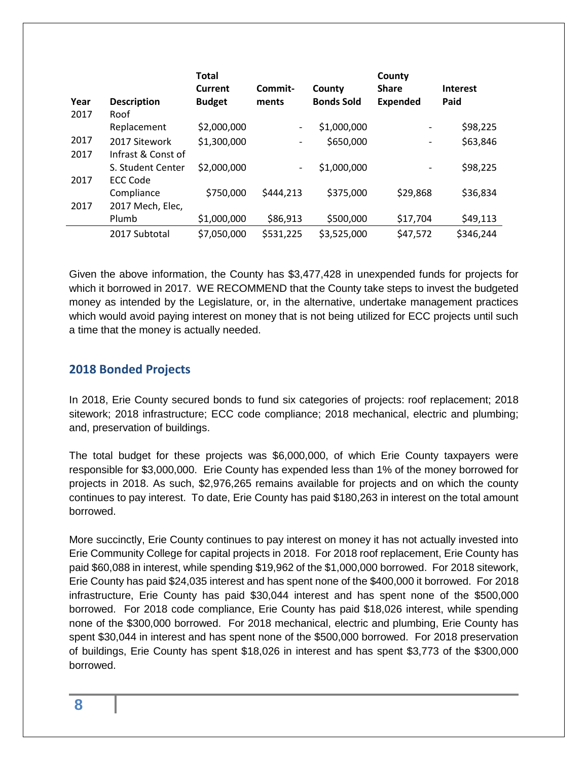|      |                    | <b>Total</b><br>Current | Commit-                  | County            | County<br><b>Share</b>   | <b>Interest</b> |
|------|--------------------|-------------------------|--------------------------|-------------------|--------------------------|-----------------|
| Year | <b>Description</b> | <b>Budget</b>           | ments                    | <b>Bonds Sold</b> | <b>Expended</b>          | Paid            |
| 2017 | Roof               |                         |                          |                   |                          |                 |
|      | Replacement        | \$2,000,000             | $\overline{\phantom{a}}$ | \$1,000,000       |                          | \$98,225        |
| 2017 | 2017 Sitework      | \$1,300,000             | $\overline{\phantom{a}}$ | \$650,000         | $\overline{\phantom{a}}$ | \$63,846        |
| 2017 | Infrast & Const of |                         |                          |                   |                          |                 |
|      | S. Student Center  | \$2,000,000             | $\overline{\phantom{a}}$ | \$1,000,000       |                          | \$98,225        |
| 2017 | <b>ECC Code</b>    |                         |                          |                   |                          |                 |
|      | Compliance         | \$750,000               | \$444,213                | \$375,000         | \$29,868                 | \$36,834        |
| 2017 | 2017 Mech, Elec,   |                         |                          |                   |                          |                 |
|      | Plumb              | \$1,000,000             | \$86,913                 | \$500,000         | \$17,704                 | \$49,113        |
|      | 2017 Subtotal      | \$7,050,000             | \$531,225                | \$3,525,000       | \$47,572                 | \$346,244       |

Given the above information, the County has \$3,477,428 in unexpended funds for projects for which it borrowed in 2017. WE RECOMMEND that the County take steps to invest the budgeted money as intended by the Legislature, or, in the alternative, undertake management practices which would avoid paying interest on money that is not being utilized for ECC projects until such a time that the money is actually needed.

#### <span id="page-7-0"></span>**2018 Bonded Projects**

In 2018, Erie County secured bonds to fund six categories of projects: roof replacement; 2018 sitework; 2018 infrastructure; ECC code compliance; 2018 mechanical, electric and plumbing; and, preservation of buildings.

The total budget for these projects was \$6,000,000, of which Erie County taxpayers were responsible for \$3,000,000. Erie County has expended less than 1% of the money borrowed for projects in 2018. As such, \$2,976,265 remains available for projects and on which the county continues to pay interest. To date, Erie County has paid \$180,263 in interest on the total amount borrowed.

More succinctly, Erie County continues to pay interest on money it has not actually invested into Erie Community College for capital projects in 2018. For 2018 roof replacement, Erie County has paid \$60,088 in interest, while spending \$19,962 of the \$1,000,000 borrowed. For 2018 sitework, Erie County has paid \$24,035 interest and has spent none of the \$400,000 it borrowed. For 2018 infrastructure, Erie County has paid \$30,044 interest and has spent none of the \$500,000 borrowed. For 2018 code compliance, Erie County has paid \$18,026 interest, while spending none of the \$300,000 borrowed. For 2018 mechanical, electric and plumbing, Erie County has spent \$30,044 in interest and has spent none of the \$500,000 borrowed. For 2018 preservation of buildings, Erie County has spent \$18,026 in interest and has spent \$3,773 of the \$300,000 borrowed.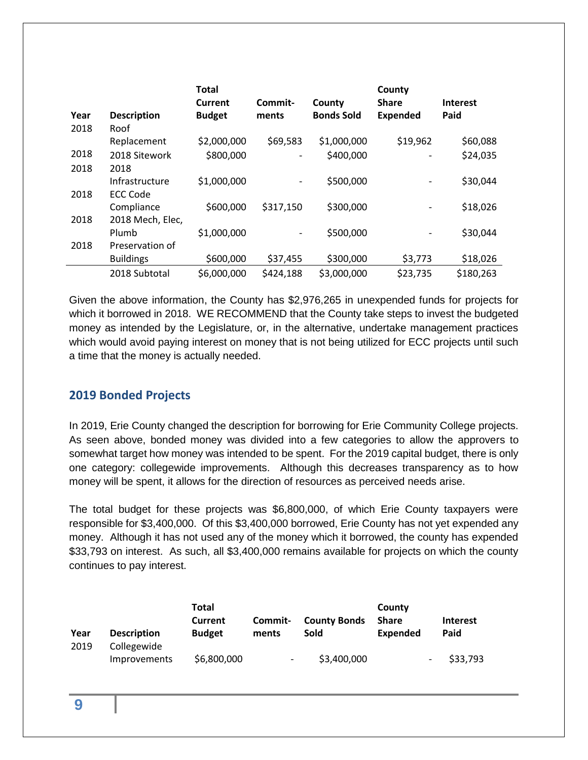|      |                    | <b>Total</b><br>Current | Commit-                  | County            | County<br><b>Share</b> | <b>Interest</b> |
|------|--------------------|-------------------------|--------------------------|-------------------|------------------------|-----------------|
| Year | <b>Description</b> | <b>Budget</b>           | ments                    | <b>Bonds Sold</b> | <b>Expended</b>        | Paid            |
| 2018 | Roof               |                         |                          |                   |                        |                 |
|      | Replacement        | \$2,000,000             | \$69,583                 | \$1,000,000       | \$19,962               | \$60,088        |
| 2018 | 2018 Sitework      | \$800,000               | $\overline{\phantom{a}}$ | \$400,000         |                        | \$24,035        |
| 2018 | 2018               |                         |                          |                   |                        |                 |
|      | Infrastructure     | \$1,000,000             | $\overline{\phantom{a}}$ | \$500,000         |                        | \$30,044        |
| 2018 | <b>ECC Code</b>    |                         |                          |                   |                        |                 |
|      | Compliance         | \$600,000               | \$317,150                | \$300,000         |                        | \$18,026        |
| 2018 | 2018 Mech, Elec,   |                         |                          |                   |                        |                 |
|      | Plumb              | \$1,000,000             | $\overline{\phantom{a}}$ | \$500,000         |                        | \$30,044        |
| 2018 | Preservation of    |                         |                          |                   |                        |                 |
|      | <b>Buildings</b>   | \$600,000               | \$37,455                 | \$300,000         | \$3,773                | \$18,026        |
|      | 2018 Subtotal      | \$6,000,000             | \$424,188                | \$3,000,000       | \$23,735               | \$180,263       |

Given the above information, the County has \$2,976,265 in unexpended funds for projects for which it borrowed in 2018. WE RECOMMEND that the County take steps to invest the budgeted money as intended by the Legislature, or, in the alternative, undertake management practices which would avoid paying interest on money that is not being utilized for ECC projects until such a time that the money is actually needed.

#### <span id="page-8-0"></span>**2019 Bonded Projects**

In 2019, Erie County changed the description for borrowing for Erie Community College projects. As seen above, bonded money was divided into a few categories to allow the approvers to somewhat target how money was intended to be spent. For the 2019 capital budget, there is only one category: collegewide improvements. Although this decreases transparency as to how money will be spent, it allows for the direction of resources as perceived needs arise.

The total budget for these projects was \$6,800,000, of which Erie County taxpayers were responsible for \$3,400,000. Of this \$3,400,000 borrowed, Erie County has not yet expended any money. Although it has not used any of the money which it borrowed, the county has expended \$33,793 on interest. As such, all \$3,400,000 remains available for projects on which the county continues to pay interest.

| Year | <b>Description</b>          | <b>Total</b><br>Current<br><b>Budget</b> | Commit-<br>ments         | <b>County Bonds</b><br><b>Sold</b> | County<br><b>Share</b><br><b>Expended</b> | <b>Interest</b><br>Paid |
|------|-----------------------------|------------------------------------------|--------------------------|------------------------------------|-------------------------------------------|-------------------------|
| 2019 | Collegewide<br>Improvements | \$6,800,000                              | $\overline{\phantom{a}}$ | \$3,400,000                        | $\qquad \qquad \blacksquare$              | \$33,793                |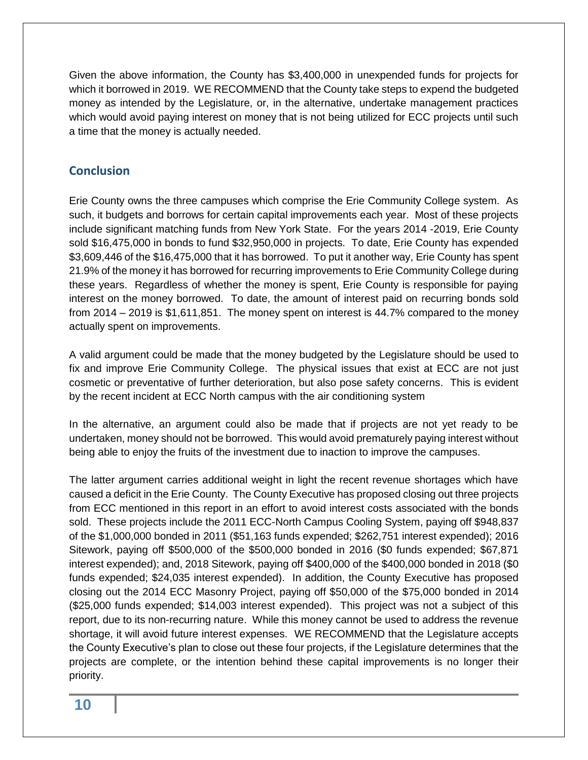Given the above information, the County has \$3,400,000 in unexpended funds for projects for which it borrowed in 2019. WE RECOMMEND that the County take steps to expend the budgeted money as intended by the Legislature, or, in the alternative, undertake management practices which would avoid paying interest on money that is not being utilized for ECC projects until such a time that the money is actually needed.

#### <span id="page-9-0"></span>**Conclusion**

Erie County owns the three campuses which comprise the Erie Community College system. As such, it budgets and borrows for certain capital improvements each year. Most of these projects include significant matching funds from New York State. For the years 2014 -2019, Erie County sold \$16,475,000 in bonds to fund \$32,950,000 in projects. To date, Erie County has expended \$3,609,446 of the \$16,475,000 that it has borrowed. To put it another way, Erie County has spent 21.9% of the money it has borrowed for recurring improvements to Erie Community College during these years. Regardless of whether the money is spent, Erie County is responsible for paying interest on the money borrowed. To date, the amount of interest paid on recurring bonds sold from 2014 – 2019 is \$1,611,851. The money spent on interest is 44.7% compared to the money actually spent on improvements.

A valid argument could be made that the money budgeted by the Legislature should be used to fix and improve Erie Community College. The physical issues that exist at ECC are not just cosmetic or preventative of further deterioration, but also pose safety concerns. This is evident by the recent incident at ECC North campus with the air conditioning system

In the alternative, an argument could also be made that if projects are not yet ready to be undertaken, money should not be borrowed. This would avoid prematurely paying interest without being able to enjoy the fruits of the investment due to inaction to improve the campuses.

The latter argument carries additional weight in light the recent revenue shortages which have caused a deficit in the Erie County. The County Executive has proposed closing out three projects from ECC mentioned in this report in an effort to avoid interest costs associated with the bonds sold. These projects include the 2011 ECC-North Campus Cooling System, paying off \$948,837 of the \$1,000,000 bonded in 2011 (\$51,163 funds expended; \$262,751 interest expended); 2016 Sitework, paying off \$500,000 of the \$500,000 bonded in 2016 (\$0 funds expended; \$67,871 interest expended); and, 2018 Sitework, paying off \$400,000 of the \$400,000 bonded in 2018 (\$0 funds expended; \$24,035 interest expended). In addition, the County Executive has proposed closing out the 2014 ECC Masonry Project, paying off \$50,000 of the \$75,000 bonded in 2014 (\$25,000 funds expended; \$14,003 interest expended). This project was not a subject of this report, due to its non-recurring nature. While this money cannot be used to address the revenue shortage, it will avoid future interest expenses. WE RECOMMEND that the Legislature accepts the County Executive's plan to close out these four projects, if the Legislature determines that the projects are complete, or the intention behind these capital improvements is no longer their priority.